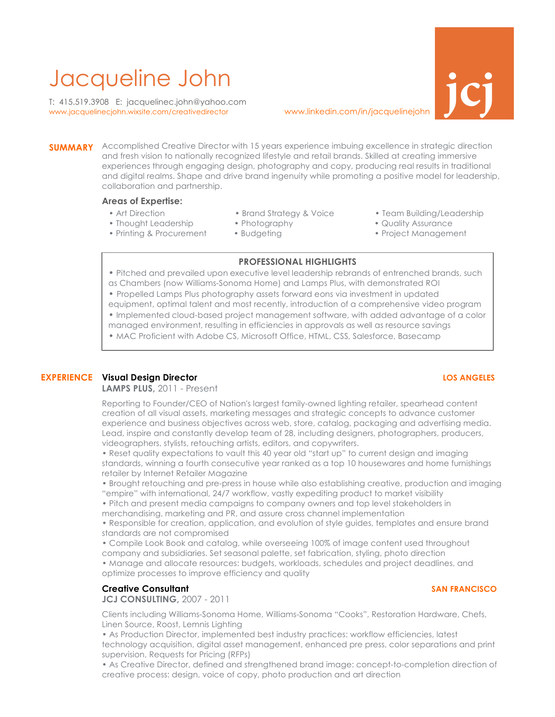# Jacqueline John www.jacquelinecjohn.wixsite.com/creativedirector www.linkedin.com/in/jacquelinejohn **jcj**

T: 415.519.3908 E: jacquelinec.john@yahoo.com



**SUMMARY** Accomplished Creative Director with 15 years experience imbuing excellence in strategic direction and fresh vision to nationally recognized lifestyle and retail brands. Skilled at creating immersive experiences through engaging design, photography and copy, producing real results in traditional and digital realms. Shape and drive brand ingenuity while promoting a positive model for leadership, collaboration and partnership.

### **Areas of Expertise:**

- 
- Thought Leadership Photography • Quality Assurance
- Printing & Procurement Budgeting Project Management
- Art Direction Brand Strategy & Voice Team Building/Leadership
	-
- -

### **PROFESSIONAL HIGHLIGHTS**

- Pitched and prevailed upon executive level leadership rebrands of entrenched brands, such as Chambers (now Williams-Sonoma Home) and Lamps Plus, with demonstrated ROI
- Propelled Lamps Plus photography assets forward eons via investment in updated equipment, optimal talent and most recently, introduction of a comprehensive video program
- Implemented cloud-based project management software, with added advantage of a color
- managed environment, resulting in efficiencies in approvals as well as resource savings
- MAC Proficient with Adobe CS, Microsoft Office, HTML, CSS, Salesforce, Basecamp

# **EXPERIENCE Visual Design Director LOS ANGELES**

### **LAMPS PLUS,** 2011 - Present

Reporting to Founder/CEO of Nation's largest family-owned lighting retailer, spearhead content creation of all visual assets, marketing messages and strategic concepts to advance customer experience and business objectives across web, store, catalog, packaging and advertising media. Lead, inspire and constantly develop team of 28, including designers, photographers, producers, videographers, stylists, retouching artists, editors, and copywriters.

• Reset quality expectations to vault this 40 year old "start up" to current design and imaging standards, winning a fourth consecutive year ranked as a top 10 housewares and home furnishings retailer by Internet Retailer Magazine

• Brought retouching and pre-press in house while also establishing creative, production and imaging "empire" with international, 24/7 workflow, vastly expediting product to market visibility

• Pitch and present media campaigns to company owners and top level stakeholders in merchandising, marketing and PR, and assure cross channel implementation

• Responsible for creation, application, and evolution of style guides, templates and ensure brand standards are not compromised

• Compile Look Book and catalog, while overseeing 100% of image content used throughout company and subsidiaries. Set seasonal palette, set fabrication, styling, photo direction

• Manage and allocate resources: budgets, workloads, schedules and project deadlines, and optimize processes to improve efficiency and quality

### **Creative Consultant SAN FRANCISCO**

**JCJ CONSULTING,** 2007 - 2011

Clients including Williams-Sonoma Home, Williams-Sonoma "Cooks", Restoration Hardware, Chefs, Linen Source, Roost, Lemnis Lighting

• As Production Director, implemented best industry practices: workflow efficiencies, latest technology acquisition, digital asset management, enhanced pre press, color separations and print supervision, Requests for Pricing (RFPs)

• As Creative Director, defined and strengthened brand image: concept-to-completion direction of creative process: design, voice of copy, photo production and art direction